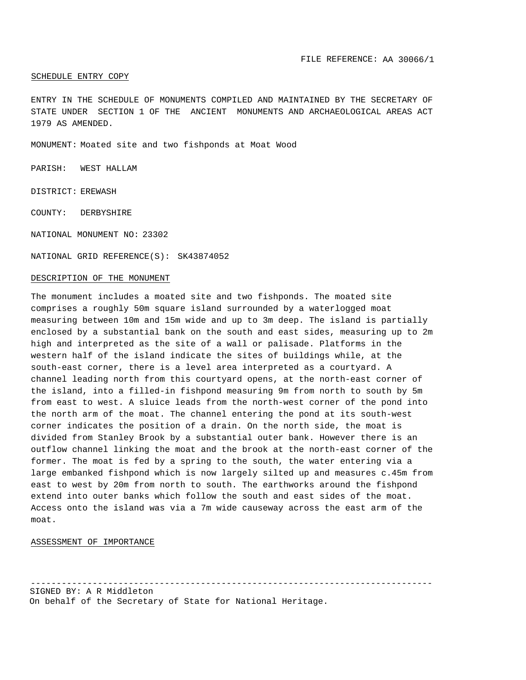### SCHEDULE ENTRY COPY

ENTRY IN THE SCHEDULE OF MONUMENTS COMPILED AND MAINTAINED BY THE SECRETARY OF STATE UNDER SECTION 1 OF THE ANCIENT MONUMENTS AND ARCHAEOLOGICAL AREAS ACT 1979 AS AMENDED.

MONUMENT: Moated site and two fishponds at Moat Wood

PARISH: WEST HALLAM

DISTRICT: EREWASH

COUNTY: DERBYSHIRE

NATIONAL MONUMENT NO: 23302

NATIONAL GRID REFERENCE(S): SK43874052

#### DESCRIPTION OF THE MONUMENT

The monument includes a moated site and two fishponds. The moated site comprises a roughly 50m square island surrounded by a waterlogged moat measuring between 10m and 15m wide and up to 3m deep. The island is partially enclosed by a substantial bank on the south and east sides, measuring up to 2m high and interpreted as the site of a wall or palisade. Platforms in the western half of the island indicate the sites of buildings while, at the south-east corner, there is a level area interpreted as a courtyard. A channel leading north from this courtyard opens, at the north-east corner of the island, into a filled-in fishpond measuring 9m from north to south by 5m from east to west. A sluice leads from the north-west corner of the pond into the north arm of the moat. The channel entering the pond at its south-west corner indicates the position of a drain. On the north side, the moat is divided from Stanley Brook by a substantial outer bank. However there is an outflow channel linking the moat and the brook at the north-east corner of the former. The moat is fed by a spring to the south, the water entering via a large embanked fishpond which is now largely silted up and measures c.45m from east to west by 20m from north to south. The earthworks around the fishpond extend into outer banks which follow the south and east sides of the moat. Access onto the island was via a 7m wide causeway across the east arm of the moat.

# ASSESSMENT OF IMPORTANCE

------------------------------------------------------------------------------ SIGNED BY: A R Middleton

On behalf of the Secretary of State for National Heritage.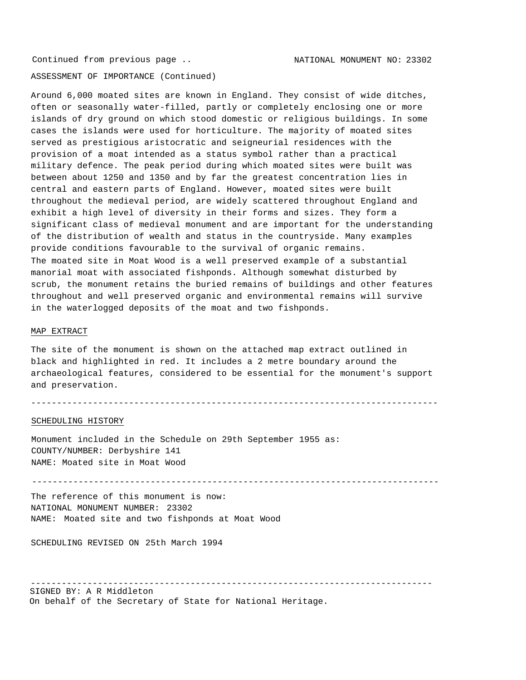ASSESSMENT OF IMPORTANCE (Continued)

Around 6,000 moated sites are known in England. They consist of wide ditches, often or seasonally water-filled, partly or completely enclosing one or more islands of dry ground on which stood domestic or religious buildings. In some cases the islands were used for horticulture. The majority of moated sites served as prestigious aristocratic and seigneurial residences with the provision of a moat intended as a status symbol rather than a practical military defence. The peak period during which moated sites were built was between about 1250 and 1350 and by far the greatest concentration lies in central and eastern parts of England. However, moated sites were built throughout the medieval period, are widely scattered throughout England and exhibit a high level of diversity in their forms and sizes. They form a significant class of medieval monument and are important for the understanding of the distribution of wealth and status in the countryside. Many examples provide conditions favourable to the survival of organic remains. The moated site in Moat Wood is a well preserved example of a substantial manorial moat with associated fishponds. Although somewhat disturbed by scrub, the monument retains the buried remains of buildings and other features throughout and well preserved organic and environmental remains will survive in the waterlogged deposits of the moat and two fishponds.

### MAP EXTRACT

The site of the monument is shown on the attached map extract outlined in black and highlighted in red. It includes a 2 metre boundary around the archaeological features, considered to be essential for the monument's support and preservation.

-------------------------------------------------------------------------------

## SCHEDULING HISTORY

Monument included in the Schedule on 29th September 1955 as: COUNTY/NUMBER: Derbyshire 141 NAME: Moated site in Moat Wood

-------------------------------------------------------------------------------

The reference of this monument is now: NATIONAL MONUMENT NUMBER: 23302 NAME: Moated site and two fishponds at Moat Wood

SCHEDULING REVISED ON 25th March 1994

------------------------------------------------------------------------------ SIGNED BY: A R Middleton

On behalf of the Secretary of State for National Heritage.